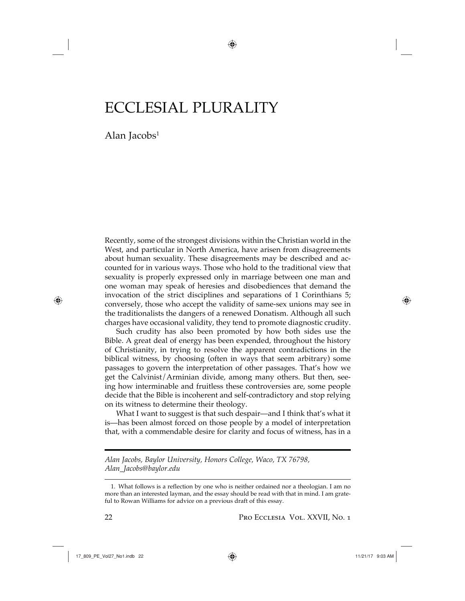# ECCLESIAL PLURALITY

# Alan Jacobs<sup>1</sup>

 $\bigcirc$ 

Recently, some of the strongest divisions within the Christian world in the West, and particular in North America, have arisen from disagreements about human sexuality. These disagreements may be described and accounted for in various ways. Those who hold to the traditional view that sexuality is properly expressed only in marriage between one man and one woman may speak of heresies and disobediences that demand the invocation of the strict disciplines and separations of 1 Corinthians 5; conversely, those who accept the validity of same-sex unions may see in the traditionalists the dangers of a renewed Donatism. Although all such charges have occasional validity, they tend to promote diagnostic crudity.

↔

Such crudity has also been promoted by how both sides use the Bible. A great deal of energy has been expended, throughout the history of Christianity, in trying to resolve the apparent contradictions in the biblical witness, by choosing (often in ways that seem arbitrary) some passages to govern the interpretation of other passages. That's how we get the Calvinist/Arminian divide, among many others. But then, seeing how interminable and fruitless these controversies are, some people decide that the Bible is incoherent and self-contradictory and stop relying on its witness to determine their theology.

What I want to suggest is that such despair—and I think that's what it is—has been almost forced on those people by a model of interpretation that, with a commendable desire for clarity and focus of witness, has in a

*Alan Jacobs, Baylor University, Honors College, Waco, TX 76798, Alan\_Jacobs@baylor.edu*

22 Pro Ecclesia Vol. XXVII, No. 1

<sup>1.</sup> What follows is a reflection by one who is neither ordained nor a theologian. I am no more than an interested layman, and the essay should be read with that in mind. I am grateful to Rowan Williams for advice on a previous draft of this essay.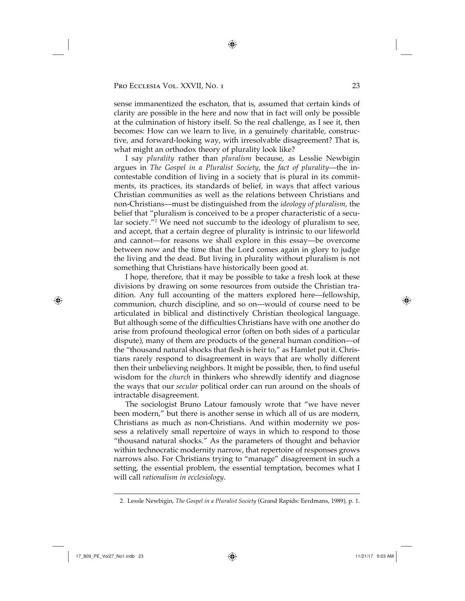sense immanentized the eschaton, that is, assumed that certain kinds of clarity are possible in the here and now that in fact will only be possible at the culmination of history itself. So the real challenge, as I see it, then becomes: How can we learn to live, in a genuinely charitable, constructive, and forward-looking way, with irresolvable disagreement? That is, what might an orthodox theory of plurality look like?

↔

I say *plurality* rather than *pluralism* because, as Lesslie Newbigin argues in *The Gospel in a Pluralist Society*, the *fact of plurality*—the incontestable condition of living in a society that is plural in its commitments, its practices, its standards of belief, in ways that affect various Christian communities as well as the relations between Christians and non-Christians—must be distinguished from the *ideology of pluralism*, the belief that "pluralism is conceived to be a proper characteristic of a secular society."2 We need not succumb to the ideology of pluralism to see, and accept, that a certain degree of plurality is intrinsic to our lifeworld and cannot—for reasons we shall explore in this essay—be overcome between now and the time that the Lord comes again in glory to judge the living and the dead. But living in plurality without pluralism is not something that Christians have historically been good at.

I hope, therefore, that it may be possible to take a fresh look at these divisions by drawing on some resources from outside the Christian tradition. Any full accounting of the matters explored here—fellowship, communion, church discipline, and so on—would of course need to be articulated in biblical and distinctively Christian theological language. But although some of the difficulties Christians have with one another do arise from profound theological error (often on both sides of a particular dispute), many of them are products of the general human condition—of the "thousand natural shocks that flesh is heir to," as Hamlet put it. Christians rarely respond to disagreement in ways that are wholly different then their unbelieving neighbors. It might be possible, then, to find useful wisdom for the *church* in thinkers who shrewdly identify and diagnose the ways that our *secular* political order can run around on the shoals of intractable disagreement.

The sociologist Bruno Latour famously wrote that "we have never been modern," but there is another sense in which all of us are modern, Christians as much as non-Christians. And within modernity we possess a relatively small repertoire of ways in which to respond to those "thousand natural shocks." As the parameters of thought and behavior within technocratic modernity narrow, that repertoire of responses grows narrows also. For Christians trying to "manage" disagreement in such a setting, the essential problem, the essential temptation, becomes what I will call *rationalism in ecclesiology*.

<sup>2.</sup> Lessle Newbigin, *The Gospel in a Pluralist Society* (Grand Rapids: Eerdmans, 1989), p. 1.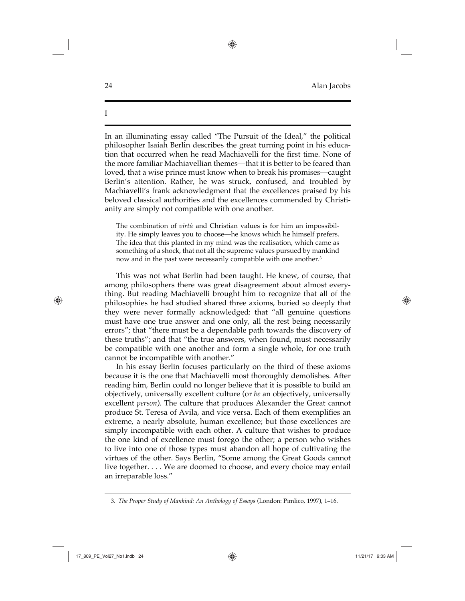In an illuminating essay called "The Pursuit of the Ideal," the political philosopher Isaiah Berlin describes the great turning point in his education that occurred when he read Machiavelli for the first time. None of the more familiar Machiavellian themes—that it is better to be feared than loved, that a wise prince must know when to break his promises—caught Berlin's attention. Rather, he was struck, confused, and troubled by Machiavelli's frank acknowledgment that the excellences praised by his beloved classical authorities and the excellences commended by Christianity are simply not compatible with one another.

↔

The combination of *virtù* and Christian values is for him an impossibility. He simply leaves you to choose—he knows which he himself prefers. The idea that this planted in my mind was the realisation, which came as something of a shock, that not all the supreme values pursued by mankind now and in the past were necessarily compatible with one another.<sup>3</sup>

This was not what Berlin had been taught. He knew, of course, that among philosophers there was great disagreement about almost everything. But reading Machiavelli brought him to recognize that all of the philosophies he had studied shared three axioms, buried so deeply that they were never formally acknowledged: that "all genuine questions must have one true answer and one only, all the rest being necessarily errors"; that "there must be a dependable path towards the discovery of these truths"; and that "the true answers, when found, must necessarily be compatible with one another and form a single whole, for one truth cannot be incompatible with another."

In his essay Berlin focuses particularly on the third of these axioms because it is the one that Machiavelli most thoroughly demolishes. After reading him, Berlin could no longer believe that it is possible to build an objectively, universally excellent culture (or *be* an objectively, universally excellent *person*). The culture that produces Alexander the Great cannot produce St. Teresa of Avila, and vice versa. Each of them exemplifies an extreme, a nearly absolute, human excellence; but those excellences are simply incompatible with each other. A culture that wishes to produce the one kind of excellence must forego the other; a person who wishes to live into one of those types must abandon all hope of cultivating the virtues of the other. Says Berlin, "Some among the Great Goods cannot live together. . . . We are doomed to choose, and every choice may entail an irreparable loss."

I

 $\bigcirc$ 

<sup>3.</sup> *The Proper Study of Mankind: An Anthology of Essays* (London: Pimlico, 1997), 1–16.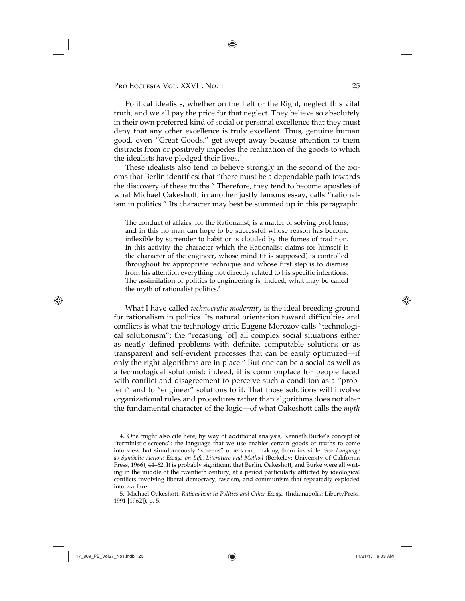Political idealists, whether on the Left or the Right, neglect this vital truth, and we all pay the price for that neglect. They believe so absolutely in their own preferred kind of social or personal excellence that they must deny that any other excellence is truly excellent. Thus, genuine human good, even "Great Goods," get swept away because attention to them distracts from or positively impedes the realization of the goods to which the idealists have pledged their lives.<sup>4</sup>

↔

These idealists also tend to believe strongly in the second of the axioms that Berlin identifies: that "there must be a dependable path towards the discovery of these truths." Therefore, they tend to become apostles of what Michael Oakeshott, in another justly famous essay, calls "rationalism in politics." Its character may best be summed up in this paragraph:

The conduct of affairs, for the Rationalist, is a matter of solving problems, and in this no man can hope to be successful whose reason has become inflexible by surrender to habit or is clouded by the fumes of tradition. In this activity the character which the Rationalist claims for himself is the character of the engineer, whose mind (it is supposed) is controlled throughout by appropriate technique and whose first step is to dismiss from his attention everything not directly related to his specific intentions. The assimilation of politics to engineering is, indeed, what may be called the myth of rationalist politics.<sup>5</sup>

What I have called *technocratic modernity* is the ideal breeding ground for rationalism in politics. Its natural orientation toward difficulties and conflicts is what the technology critic Eugene Morozov calls "technological solutionism": the "recasting [of] all complex social situations either as neatly defined problems with definite, computable solutions or as transparent and self-evident processes that can be easily optimized—if only the right algorithms are in place." But one can be a social as well as a technological solutionist: indeed, it is commonplace for people faced with conflict and disagreement to perceive such a condition as a "problem" and to "engineer" solutions to it. That those solutions will involve organizational rules and procedures rather than algorithms does not alter the fundamental character of the logic—of what Oakeshott calls the *myth*

⊕

<sup>4.</sup> One might also cite here, by way of additional analysis, Kenneth Burke's concept of "terministic screens": the language that we use enables certain goods or truths to come into view but simultaneously "screens" others out, making them invisible. See *Language as Symbolic Action: Essays on Life, Literature and Method* (Berkeley: University of California Press, 1966), 44–62. It is probably significant that Berlin, Oakeshott, and Burke were all writing in the middle of the twentieth century, at a period particularly afflicted by ideological conflicts involving liberal democracy, fascism, and communism that repeatedly exploded into warfare.

<sup>5.</sup> Michael Oakeshott, *Rationalism in Politics and Other Essays* (Indianapolis: LibertyPress, 1991 [1962]), p. 5.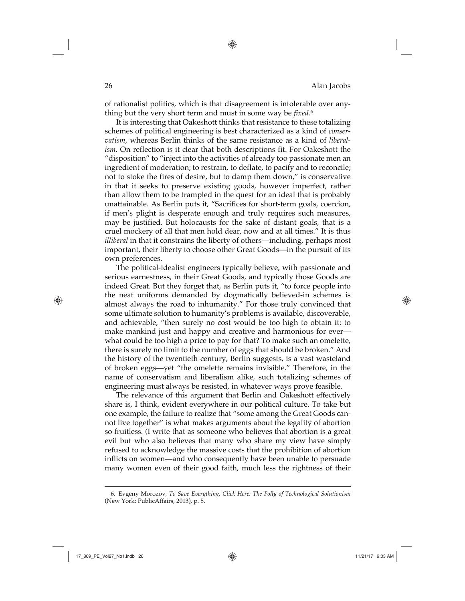of rationalist politics, which is that disagreement is intolerable over anything but the very short term and must in some way be *fixed*. 6

⊕

It is interesting that Oakeshott thinks that resistance to these totalizing schemes of political engineering is best characterized as a kind of *conservatism*, whereas Berlin thinks of the same resistance as a kind of *liberalism*. On reflection is it clear that both descriptions fit. For Oakeshott the "disposition" to "inject into the activities of already too passionate men an ingredient of moderation; to restrain, to deflate, to pacify and to reconcile; not to stoke the fires of desire, but to damp them down," is conservative in that it seeks to preserve existing goods, however imperfect, rather than allow them to be trampled in the quest for an ideal that is probably unattainable. As Berlin puts it, "Sacrifices for short-term goals, coercion, if men's plight is desperate enough and truly requires such measures, may be justified. But holocausts for the sake of distant goals, that is a cruel mockery of all that men hold dear, now and at all times." It is thus *illiberal* in that it constrains the liberty of others—including, perhaps most important, their liberty to choose other Great Goods—in the pursuit of its own preferences.

The political-idealist engineers typically believe, with passionate and serious earnestness, in their Great Goods, and typically those Goods are indeed Great. But they forget that, as Berlin puts it, "to force people into the neat uniforms demanded by dogmatically believed-in schemes is almost always the road to inhumanity." For those truly convinced that some ultimate solution to humanity's problems is available, discoverable, and achievable, "then surely no cost would be too high to obtain it: to make mankind just and happy and creative and harmonious for ever what could be too high a price to pay for that? To make such an omelette, there is surely no limit to the number of eggs that should be broken." And the history of the twentieth century, Berlin suggests, is a vast wasteland of broken eggs—yet "the omelette remains invisible." Therefore, in the name of conservatism and liberalism alike, such totalizing schemes of engineering must always be resisted, in whatever ways prove feasible.

The relevance of this argument that Berlin and Oakeshott effectively share is, I think, evident everywhere in our political culture. To take but one example, the failure to realize that "some among the Great Goods cannot live together" is what makes arguments about the legality of abortion so fruitless. (I write that as someone who believes that abortion is a great evil but who also believes that many who share my view have simply refused to acknowledge the massive costs that the prohibition of abortion inflicts on women—and who consequently have been unable to persuade many women even of their good faith, much less the rightness of their

 $\bigcirc$ 

<sup>6.</sup> Evgeny Morozov, *To Save Everything, Click Here: The Folly of Technological Solutionism* (New York: PublicAffairs, 2013), p. 5.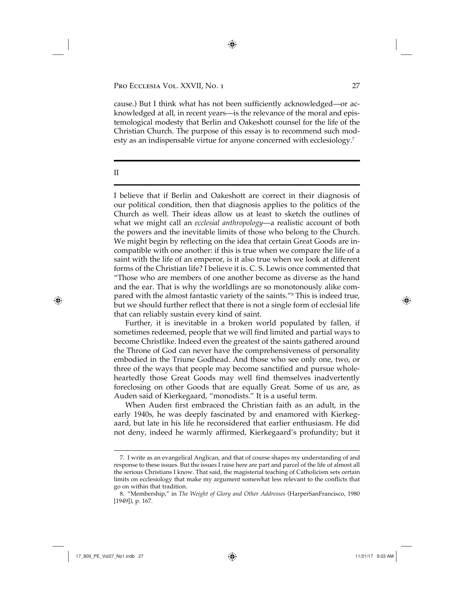cause.) But I think what has not been sufficiently acknowledged—or acknowledged at all, in recent years—is the relevance of the moral and epistemological modesty that Berlin and Oakeshott counsel for the life of the Christian Church. The purpose of this essay is to recommend such modesty as an indispensable virtue for anyone concerned with ecclesiology.<sup>7</sup>

↔

## II

⊕

I believe that if Berlin and Oakeshott are correct in their diagnosis of our political condition, then that diagnosis applies to the politics of the Church as well. Their ideas allow us at least to sketch the outlines of what we might call an *ecclesial anthropology*—a realistic account of both the powers and the inevitable limits of those who belong to the Church. We might begin by reflecting on the idea that certain Great Goods are incompatible with one another: if this is true when we compare the life of a saint with the life of an emperor, is it also true when we look at different forms of the Christian life? I believe it is. C. S. Lewis once commented that "Those who are members of one another become as diverse as the hand and the ear. That is why the worldlings are so monotonously alike compared with the almost fantastic variety of the saints."8 This is indeed true, but we should further reflect that there is not a single form of ecclesial life that can reliably sustain every kind of saint.

Further, it is inevitable in a broken world populated by fallen, if sometimes redeemed, people that we will find limited and partial ways to become Christlike. Indeed even the greatest of the saints gathered around the Throne of God can never have the comprehensiveness of personality embodied in the Triune Godhead. And those who see only one, two, or three of the ways that people may become sanctified and pursue wholeheartedly those Great Goods may well find themselves inadvertently foreclosing on other Goods that are equally Great. Some of us are, as Auden said of Kierkegaard, "monodists." It is a useful term.

When Auden first embraced the Christian faith as an adult, in the early 1940s, he was deeply fascinated by and enamored with Kierkegaard, but late in his life he reconsidered that earlier enthusiasm. He did not deny, indeed he warmly affirmed, Kierkegaard's profundity; but it

<sup>7.</sup> I write as an evangelical Anglican, and that of course shapes my understanding of and response to these issues. But the issues I raise here are part and parcel of the life of almost all the serious Christians I know. That said, the magisterial teaching of Catholicism sets certain limits on ecclesiology that make my argument somewhat less relevant to the conflicts that go on within that tradition.

<sup>8. &</sup>quot;Membership," in *The Weight of Glory and Other Addresses* (HarperSanFrancisco, 1980 [1949]), p. 167.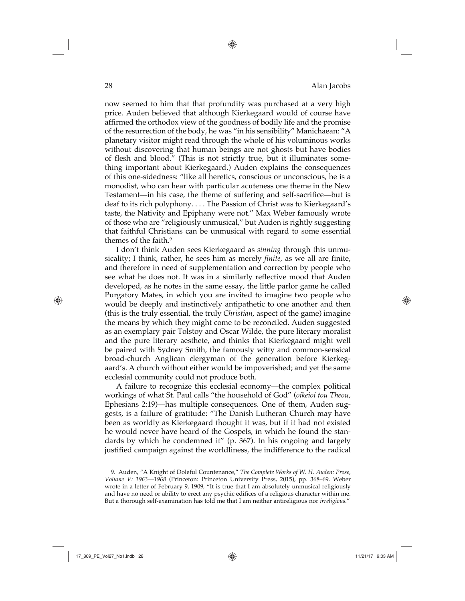now seemed to him that that profundity was purchased at a very high price. Auden believed that although Kierkegaard would of course have affirmed the orthodox view of the goodness of bodily life and the promise of the resurrection of the body, he was "in his sensibility" Manichaean: "A planetary visitor might read through the whole of his voluminous works without discovering that human beings are not ghosts but have bodies of flesh and blood." (This is not strictly true, but it illuminates something important about Kierkegaard.) Auden explains the consequences of this one-sidedness: "like all heretics, conscious or unconscious, he is a monodist, who can hear with particular acuteness one theme in the New Testament—in his case, the theme of suffering and self-sacrifice—but is deaf to its rich polyphony. . . . The Passion of Christ was to Kierkegaard's taste, the Nativity and Epiphany were not." Max Weber famously wrote of those who are "religiously unmusical," but Auden is rightly suggesting that faithful Christians can be unmusical with regard to some essential themes of the faith.<sup>9</sup>

↔

I don't think Auden sees Kierkegaard as *sinning* through this unmusicality; I think, rather, he sees him as merely *finite*, as we all are finite, and therefore in need of supplementation and correction by people who see what he does not. It was in a similarly reflective mood that Auden developed, as he notes in the same essay, the little parlor game he called Purgatory Mates, in which you are invited to imagine two people who would be deeply and instinctively antipathetic to one another and then (this is the truly essential, the truly *Christian*, aspect of the game) imagine the means by which they might come to be reconciled. Auden suggested as an exemplary pair Tolstoy and Oscar Wilde, the pure literary moralist and the pure literary aesthete, and thinks that Kierkegaard might well be paired with Sydney Smith, the famously witty and common-sensical broad-church Anglican clergyman of the generation before Kierkegaard's. A church without either would be impoverished; and yet the same ecclesial community could not produce both.

A failure to recognize this ecclesial economy—the complex political workings of what St. Paul calls "the household of God" (*oikeioi tou Theou*, Ephesians 2:19)—has multiple consequences. One of them, Auden suggests, is a failure of gratitude: "The Danish Lutheran Church may have been as worldly as Kierkegaard thought it was, but if it had not existed he would never have heard of the Gospels, in which he found the standards by which he condemned it" (p. 367). In his ongoing and largely justified campaign against the worldliness, the indifference to the radical

 $\bigcirc$ 

<sup>9.</sup> Auden, "A Knight of Doleful Countenance," *The Complete Works of W. H. Auden: Prose, Volume V: 1963––1968* (Princeton: Princeton University Press, 2015), pp. 368–69. Weber wrote in a letter of February 9, 1909, "It is true that I am absolutely unmusical religiously and have no need or ability to erect any psychic edifices of a religious character within me. But a thorough self-examination has told me that I am neither antireligious nor *irreligious.*"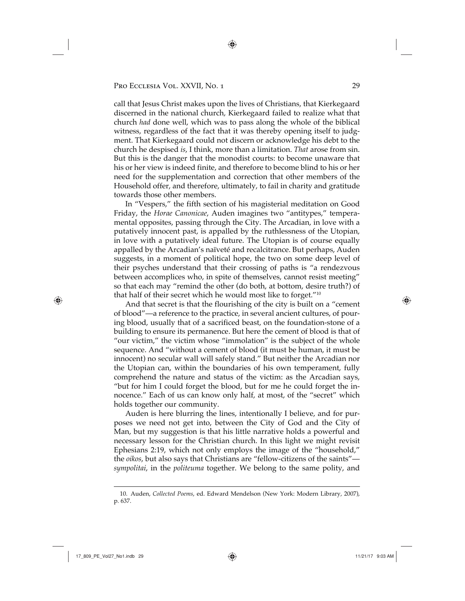call that Jesus Christ makes upon the lives of Christians, that Kierkegaard discerned in the national church, Kierkegaard failed to realize what that church *had* done well, which was to pass along the whole of the biblical witness, regardless of the fact that it was thereby opening itself to judgment. That Kierkegaard could not discern or acknowledge his debt to the church he despised *is*, I think, more than a limitation. *That* arose from sin. But this is the danger that the monodist courts: to become unaware that his or her view is indeed finite, and therefore to become blind to his or her need for the supplementation and correction that other members of the Household offer, and therefore, ultimately, to fail in charity and gratitude towards those other members.

↔

In "Vespers," the fifth section of his magisterial meditation on Good Friday, the *Horae Canonicae*, Auden imagines two "antitypes," temperamental opposites, passing through the City. The Arcadian, in love with a putatively innocent past, is appalled by the ruthlessness of the Utopian, in love with a putatively ideal future. The Utopian is of course equally appalled by the Arcadian's naïveté and recalcitrance. But perhaps, Auden suggests, in a moment of political hope, the two on some deep level of their psyches understand that their crossing of paths is "a rendezvous between accomplices who, in spite of themselves, cannot resist meeting" so that each may "remind the other (do both, at bottom, desire truth?) of that half of their secret which he would most like to forget."10

And that secret is that the flourishing of the city is built on a "cement of blood"—a reference to the practice, in several ancient cultures, of pouring blood, usually that of a sacrificed beast, on the foundation-stone of a building to ensure its permanence. But here the cement of blood is that of "our victim," the victim whose "immolation" is the subject of the whole sequence. And "without a cement of blood (it must be human, it must be innocent) no secular wall will safely stand." But neither the Arcadian nor the Utopian can, within the boundaries of his own temperament, fully comprehend the nature and status of the victim: as the Arcadian says, "but for him I could forget the blood, but for me he could forget the innocence." Each of us can know only half, at most, of the "secret" which holds together our community.

Auden is here blurring the lines, intentionally I believe, and for purposes we need not get into, between the City of God and the City of Man, but my suggestion is that his little narrative holds a powerful and necessary lesson for the Christian church. In this light we might revisit Ephesians 2:19, which not only employs the image of the "household," the *oikos*, but also says that Christians are "fellow-citizens of the saints" *sympolitai*, in the *politeuma* together. We belong to the same polity, and

⊕

<sup>10.</sup> Auden, *Collected Poems*, ed. Edward Mendelson (New York: Modern Library, 2007), p. 637.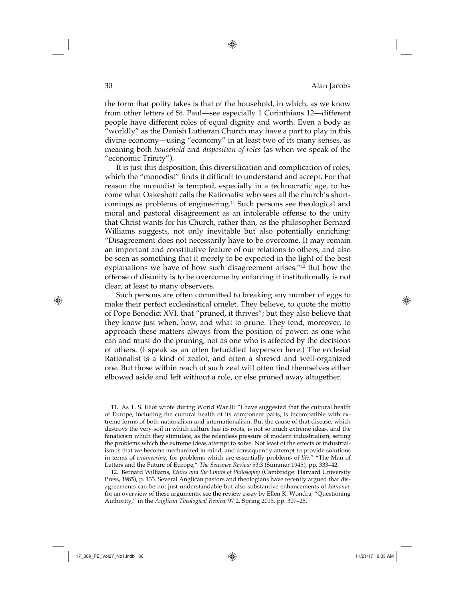the form that polity takes is that of the household, in which, as we know from other letters of St. Paul—see especially 1 Corinthians 12—different people have different roles of equal dignity and worth. Even a body as "worldly" as the Danish Lutheran Church may have a part to play in this divine economy—using "economy" in at least two of its many senses, as meaning both *household* and *disposition of roles* (as when we speak of the "economic Trinity").

↔

It is just this disposition, this diversification and complication of roles, which the "monodist" finds it difficult to understand and accept. For that reason the monodist is tempted, especially in a technocratic age, to become what Oakeshott calls the Rationalist who sees all the church's shortcomings as problems of engineering.<sup>11</sup> Such persons see theological and moral and pastoral disagreement as an intolerable offense to the unity that Christ wants for his Church, rather than, as the philosopher Bernard Williams suggests, not only inevitable but also potentially enriching: "Disagreement does not necessarily have to be overcome. It may remain an important and constitutive feature of our relations to others, and also be seen as something that it merely to be expected in the light of the best explanations we have of how such disagreement arises."12 But how the offense of disunity is to be overcome by enforcing it institutionally is not clear, at least to many observers.

Such persons are often committed to breaking any number of eggs to make their perfect ecclesiastical omelet. They believe, to quote the motto of Pope Benedict XVI, that "pruned, it thrives"; but they also believe that they know just when, how, and what to prune. They tend, moreover, to approach these matters always from the position of power: as one who can and must do the pruning, not as one who is affected by the decisions of others. (I speak as an often befuddled layperson here.) The ecclesial Rationalist is a kind of zealot, and often a shrewd and well-organized one. But those within reach of such zeal will often find themselves either elbowed aside and left without a role, or else pruned away altogether.

 $\bigcirc$ 

<sup>11.</sup> As T. S. Eliot wrote during World War II: "I have suggested that the cultural health of Europe, including the cultural health of its component parts, is incompatible with extreme forms of both nationalism and internationalism. But the cause of that disease, which destroys the very soil in which culture has its roots, is not so much extreme ideas, and the fanaticism which they stimulate, as the relentless pressure of modern industrialism, setting the problems which the extreme ideas attempt to solve. Not least of the effects of industrialism is that we become mechanized in mind, and consequently attempt to provide solutions in terms of *engineering*, for problems which are essentially problems of *life*." "The Man of Letters and the Future of Europe," *The Sewanee Review* 53:3 (Summer 1945), pp. 333–42.

<sup>12.</sup> Bernard Williams, *Ethics and the Limits of Philosophy* (Cambridge: Harvard University Press, 1985), p. 133. Several Anglican pastors and theologians have recently argued that disagreements can be not just understandable but also substantive enhancements of *koinonia*: for an overview of these arguments, see the review essay by Ellen K. Wondra, "Questioning Authority," in the *Anglican Theological Review* 97.2, Spring 2015, pp. 307–25.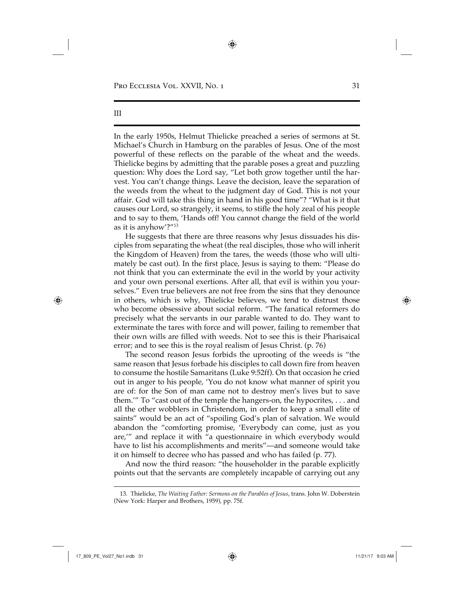# III

⊕

In the early 1950s, Helmut Thielicke preached a series of sermons at St. Michael's Church in Hamburg on the parables of Jesus. One of the most powerful of these reflects on the parable of the wheat and the weeds. Thielicke begins by admitting that the parable poses a great and puzzling question: Why does the Lord say, "Let both grow together until the harvest. You can't change things. Leave the decision, leave the separation of the weeds from the wheat to the judgment day of God. This is not your affair. God will take this thing in hand in his good time"? "What is it that causes our Lord, so strangely, it seems, to stifle the holy zeal of his people and to say to them, 'Hands off! You cannot change the field of the world as it is anyhow'?"13

He suggests that there are three reasons why Jesus dissuades his disciples from separating the wheat (the real disciples, those who will inherit the Kingdom of Heaven) from the tares, the weeds (those who will ultimately be cast out). In the first place, Jesus is saying to them: "Please do not think that you can exterminate the evil in the world by your activity and your own personal exertions. After all, that evil is within you yourselves." Even true believers are not free from the sins that they denounce in others, which is why, Thielicke believes, we tend to distrust those who become obsessive about social reform. "The fanatical reformers do precisely what the servants in our parable wanted to do. They want to exterminate the tares with force and will power, failing to remember that their own wills are filled with weeds. Not to see this is their Pharisaical error; and to see this is the royal realism of Jesus Christ. (p. 76)

The second reason Jesus forbids the uprooting of the weeds is "the same reason that Jesus forbade his disciples to call down fire from heaven to consume the hostile Samaritans (Luke 9:52ff). On that occasion he cried out in anger to his people, 'You do not know what manner of spirit you are of: for the Son of man came not to destroy men's lives but to save them.'" To "cast out of the temple the hangers-on, the hypocrites, . . . and all the other wobblers in Christendom, in order to keep a small elite of saints" would be an act of "spoiling God's plan of salvation. We would abandon the "comforting promise, 'Everybody can come, just as you are,'" and replace it with "a questionnaire in which everybody would have to list his accomplishments and merits"—and someone would take it on himself to decree who has passed and who has failed (p. 77).

And now the third reason: "the householder in the parable explicitly points out that the servants are completely incapable of carrying out any

<sup>13.</sup> Thielicke, *The Waiting Father: Sermons on the Parables of Jesus*, trans. John W. Doberstein (New York: Harper and Brothers, 1959), pp. 75f.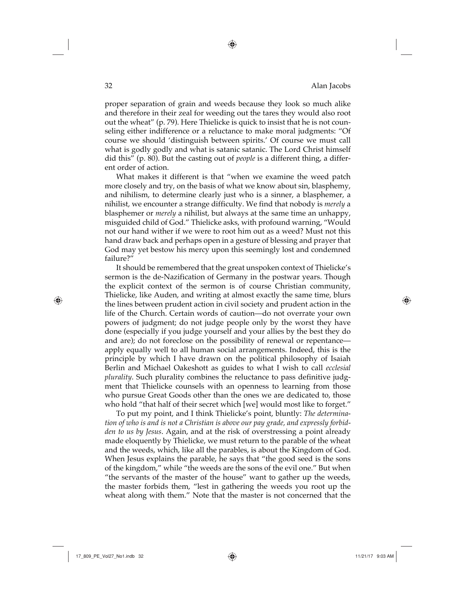proper separation of grain and weeds because they look so much alike and therefore in their zeal for weeding out the tares they would also root out the wheat" (p. 79). Here Thielicke is quick to insist that he is not counseling either indifference or a reluctance to make moral judgments: "Of course we should 'distinguish between spirits.' Of course we must call what is godly godly and what is satanic satanic. The Lord Christ himself did this" (p. 80). But the casting out of *people* is a different thing, a different order of action.

⊕

What makes it different is that "when we examine the weed patch more closely and try, on the basis of what we know about sin, blasphemy, and nihilism, to determine clearly just who is a sinner, a blasphemer, a nihilist, we encounter a strange difficulty. We find that nobody is *merely* a blasphemer or *merely* a nihilist, but always at the same time an unhappy, misguided child of God." Thielicke asks, with profound warning, "Would not our hand wither if we were to root him out as a weed? Must not this hand draw back and perhaps open in a gesture of blessing and prayer that God may yet bestow his mercy upon this seemingly lost and condemned failure?"

It should be remembered that the great unspoken context of Thielicke's sermon is the de-Nazification of Germany in the postwar years. Though the explicit context of the sermon is of course Christian community, Thielicke, like Auden, and writing at almost exactly the same time, blurs the lines between prudent action in civil society and prudent action in the life of the Church. Certain words of caution—do not overrate your own powers of judgment; do not judge people only by the worst they have done (especially if you judge yourself and your allies by the best they do and are); do not foreclose on the possibility of renewal or repentance apply equally well to all human social arrangements. Indeed, this is the principle by which I have drawn on the political philosophy of Isaiah Berlin and Michael Oakeshott as guides to what I wish to call *ecclesial plurality*. Such plurality combines the reluctance to pass definitive judgment that Thielicke counsels with an openness to learning from those who pursue Great Goods other than the ones we are dedicated to, those who hold "that half of their secret which [we] would most like to forget."

To put my point, and I think Thielicke's point, bluntly: *The determination of who is and is not a Christian is above our pay grade, and expressly forbidden to us by Jesus*. Again, and at the risk of overstressing a point already made eloquently by Thielicke, we must return to the parable of the wheat and the weeds, which, like all the parables, is about the Kingdom of God. When Jesus explains the parable, he says that "the good seed is the sons of the kingdom," while "the weeds are the sons of the evil one." But when "the servants of the master of the house" want to gather up the weeds, the master forbids them, "lest in gathering the weeds you root up the wheat along with them." Note that the master is not concerned that the

 $\bigcirc$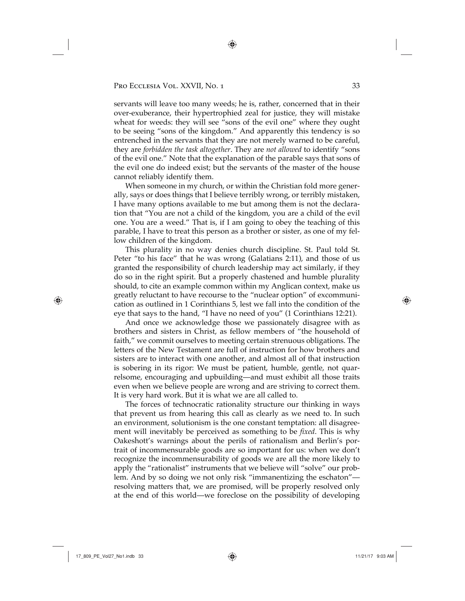servants will leave too many weeds; he is, rather, concerned that in their over-exuberance, their hypertrophied zeal for justice, they will mistake wheat for weeds: they will see "sons of the evil one" where they ought to be seeing "sons of the kingdom." And apparently this tendency is so entrenched in the servants that they are not merely warned to be careful, they are *forbidden the task altogether*. They are *not allowed* to identify "sons of the evil one." Note that the explanation of the parable says that sons of the evil one do indeed exist; but the servants of the master of the house cannot reliably identify them.

↔

When someone in my church, or within the Christian fold more generally, says or does things that I believe terribly wrong, or terribly mistaken, I have many options available to me but among them is not the declaration that "You are not a child of the kingdom, you are a child of the evil one. You are a weed." That is, if I am going to obey the teaching of this parable, I have to treat this person as a brother or sister, as one of my fellow children of the kingdom.

This plurality in no way denies church discipline. St. Paul told St. Peter "to his face" that he was wrong (Galatians 2:11), and those of us granted the responsibility of church leadership may act similarly, if they do so in the right spirit. But a properly chastened and humble plurality should, to cite an example common within my Anglican context, make us greatly reluctant to have recourse to the "nuclear option" of excommunication as outlined in 1 Corinthians 5, lest we fall into the condition of the eye that says to the hand, "I have no need of you" (1 Corinthians 12:21).

And once we acknowledge those we passionately disagree with as brothers and sisters in Christ, as fellow members of "the household of faith," we commit ourselves to meeting certain strenuous obligations. The letters of the New Testament are full of instruction for how brothers and sisters are to interact with one another, and almost all of that instruction is sobering in its rigor: We must be patient, humble, gentle, not quarrelsome, encouraging and upbuilding—and must exhibit all those traits even when we believe people are wrong and are striving to correct them. It is very hard work. But it is what we are all called to.

The forces of technocratic rationality structure our thinking in ways that prevent us from hearing this call as clearly as we need to. In such an environment, solutionism is the one constant temptation: all disagreement will inevitably be perceived as something to be *fixed*. This is why Oakeshott's warnings about the perils of rationalism and Berlin's portrait of incommensurable goods are so important for us: when we don't recognize the incommensurability of goods we are all the more likely to apply the "rationalist" instruments that we believe will "solve" our problem. And by so doing we not only risk "immanentizing the eschaton" resolving matters that, we are promised, will be properly resolved only at the end of this world—we foreclose on the possibility of developing

⊕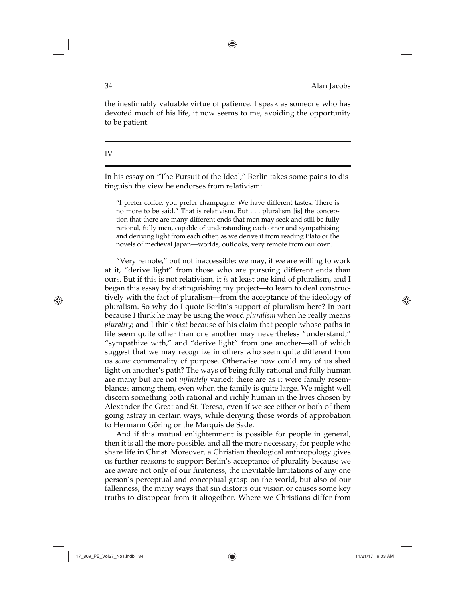the inestimably valuable virtue of patience. I speak as someone who has devoted much of his life, it now seems to me, avoiding the opportunity to be patient.

In his essay on "The Pursuit of the Ideal," Berlin takes some pains to distinguish the view he endorses from relativism:

"I prefer coffee, you prefer champagne. We have different tastes. There is no more to be said." That is relativism. But . . . pluralism [is] the conception that there are many different ends that men may seek and still be fully rational, fully men, capable of understanding each other and sympathising and deriving light from each other, as we derive it from reading Plato or the novels of medieval Japan—worlds, outlooks, very remote from our own.

"Very remote," but not inaccessible: we may, if we are willing to work at it, "derive light" from those who are pursuing different ends than ours. But if this is not relativism, it *is* at least one kind of pluralism, and I began this essay by distinguishing my project—to learn to deal constructively with the fact of pluralism—from the acceptance of the ideology of pluralism. So why do I quote Berlin's support of pluralism here? In part because I think he may be using the word *pluralism* when he really means *plurality*; and I think *that* because of his claim that people whose paths in life seem quite other than one another may nevertheless "understand," "sympathize with," and "derive light" from one another—all of which suggest that we may recognize in others who seem quite different from us *some* commonality of purpose. Otherwise how could any of us shed light on another's path? The ways of being fully rational and fully human are many but are not *infinitely* varied; there are as it were family resemblances among them, even when the family is quite large. We might well discern something both rational and richly human in the lives chosen by Alexander the Great and St. Teresa, even if we see either or both of them going astray in certain ways, while denying those words of approbation to Hermann Göring or the Marquis de Sade.

And if this mutual enlightenment is possible for people in general, then it is all the more possible, and all the more necessary, for people who share life in Christ. Moreover, a Christian theological anthropology gives us further reasons to support Berlin's acceptance of plurality because we are aware not only of our finiteness, the inevitable limitations of any one person's perceptual and conceptual grasp on the world, but also of our fallenness, the many ways that sin distorts our vision or causes some key truths to disappear from it altogether. Where we Christians differ from

IV

 $\bigcirc$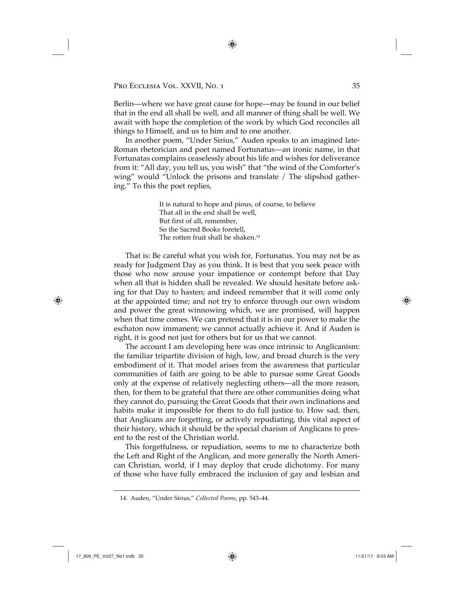Berlin—where we have great cause for hope—may be found in our belief that in the end all shall be well, and all manner of thing shall be well. We await with hope the completion of the work by which God reconciles all things to Himself, and us to him and to one another.

↔

In another poem, "Under Sirius," Auden speaks to an imagined late-Roman rhetorician and poet named Fortunatus—an ironic name, in that Fortunatas complains ceaselessly about his life and wishes for deliverance from it: "All day, you tell us, you wish" that "the wind of the Comforter's wing" would "Unlock the prisons and translate / The slipshod gathering." To this the poet replies,

> It is natural to hope and pious, of course, to believe That all in the end shall be well, But first of all, remember, So the Sacred Books foretell, The rotten fruit shall be shaken.<sup>14</sup>

That is: Be careful what you wish for, Fortunatus. You may not be as ready for Judgment Day as you think. It is best that you seek peace with those who now arouse your impatience or contempt before that Day when all that is hidden shall be revealed. We should hesitate before asking for that Day to hasten; and indeed remember that it will come only at the appointed time; and not try to enforce through our own wisdom and power the great winnowing which, we are promised, will happen when that time comes. We can pretend that it is in our power to make the eschaton now immanent; we cannot actually achieve it. And if Auden is right, it is good not just for others but for us that we cannot.

The account I am developing here was once intrinsic to Anglicanism: the familiar tripartite division of high, low, and broad church is the very embodiment of it. That model arises from the awareness that particular communities of faith are going to be able to pursue some Great Goods only at the expense of relatively neglecting others—all the more reason, then, for them to be grateful that there are other communities doing what they cannot do, pursuing the Great Goods that their own inclinations and habits make it impossible for them to do full justice to. How sad, then, that Anglicans are forgetting, or actively repudiating, this vital aspect of their history, which it should be the special charism of Anglicans to present to the rest of the Christian world.

This forgetfulness, or repudiation, seems to me to characterize both the Left and Right of the Anglican, and more generally the North American Christian, world, if I may deploy that crude dichotomy. For many of those who have fully embraced the inclusion of gay and lesbian and

<sup>14.</sup> Auden, "Under Sirius," *Collected Poems*, pp. 543–44.